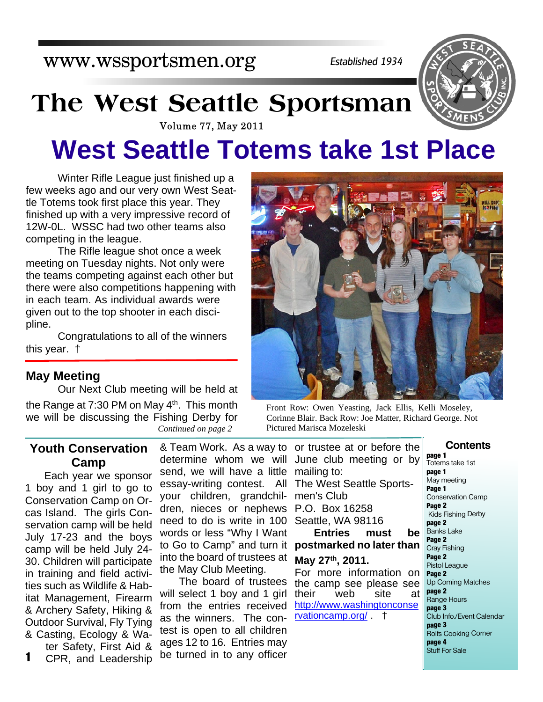www.wssportsmen.org

*Established 1934*

# **The West Seattle Sportsman**



# **West Seattle Totems take 1st Place**

 Winter Rifle League just finished up a few weeks ago and our very own West Seattle Totems took first place this year. They finished up with a very impressive record of 12W-0L. WSSC had two other teams also competing in the league.

The Rifle league shot once a week meeting on Tuesday nights. Not only were the teams competing against each other but there were also competitions happening with in each team. As individual awards were given out to the top shooter in each discipline.

Congratulations to all of the winners this year. †

#### **May Meeting**

Our Next Club meeting will be held at the Range at  $7:30$  PM on May  $4<sup>th</sup>$ . This month we will be discussing the Fishing Derby for

#### **Youth Conservation Camp**

Each year we sponsor 1 boy and 1 girl to go to Conservation Camp on Orcas Island. The girls Conservation camp will be held July 17-23 and the boys camp will be held July 24- 30. Children will participate in training and field activities such as Wildlife & Habitat Management, Firearm & Archery Safety, Hiking & Outdoor Survival, Fly Tying & Casting, Ecology & Water Safety, First Aid &

CPR, and Leadership **1**

determine whom we will send, we will have a little essay-writing contest. All your children, grandchildren, nieces or nephews need to do is write in 100 words or less "Why I Want to Go to Camp" and turn it into the board of trustees at the May Club Meeting.

The board of trustees will select 1 boy and 1 girl from the entries received as the winners. The contest is open to all children ages 12 to 16. Entries may be turned in to any officer



Front Row: Owen Yeasting, Jack Ellis, Kelli Moseley, Corinne Blair. Back Row: Joe Matter, Richard George. Not *Continued on page 2* Pictured Marisca Mozeleski

& Team Work. As a way to or trustee at or before the June club meeting or by mailing to: The West Seattle Sportsmen's Club P.O. Box 16258 Seattle, WA 98116 **Entries must be postmarked no later than May 27th, 2011.** For more information on the camp see please see their web site at http://www.washingtonconse rvationcamp.org/ . †

#### **Contents**

**page 1** Totems take 1st **page 1** May meeting **Page 1** Conservation Camp **Page 2** Kids Fishing Derby **page 2** Banks Lake **Page 2** Cray Fishing **Page 2** Pistol League **Page 2** Up Coming Matches **page 2** Range Hours **page 3** Club Info./Event Calendar **page 3** Rolfs Cooking Corner **page 4** Stuff For Sale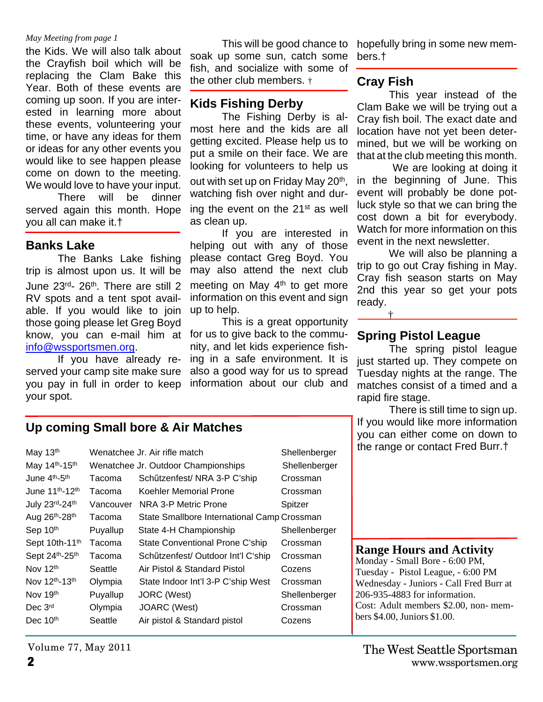#### *May Meeting from page 1*

the Kids. We will also talk about the Crayfish boil which will be replacing the Clam Bake this Year. Both of these events are coming up soon. If you are interested in learning more about these events, volunteering your time, or have any ideas for them or ideas for any other events you would like to see happen please come on down to the meeting. We would love to have your input.

There will be dinner served again this month. Hope you all can make it.†

#### **Banks Lake**

The Banks Lake fishing trip is almost upon us. It will be June 23rd- 26th. There are still 2 RV spots and a tent spot available. If you would like to join those going please let Greg Boyd know, you can e-mail him at for us to give back to the commuinfo@wssportsmen.org.

 If you have already reserved your camp site make sure you pay in full in order to keep your spot.

 This will be good chance to soak up some sun, catch some fish, and socialize with some of the other club members. †

#### **Kids Fishing Derby**

The Fishing Derby is almost here and the kids are all getting excited. Please help us to put a smile on their face. We are looking for volunteers to help us out with set up on Friday May 20<sup>th</sup>, watching fish over night and during the event on the 21<sup>st</sup> as well as clean up.

If you are interested in helping out with any of those please contact Greg Boyd. You may also attend the next club meeting on May  $4<sup>th</sup>$  to get more information on this event and sign up to help.

This is a great opportunity nity, and let kids experience fishing in a safe environment. It is also a good way for us to spread information about our club and

hopefully bring in some new members.†

#### **Cray Fish**

 This year instead of the Clam Bake we will be trying out a Cray fish boil. The exact date and location have not yet been determined, but we will be working on that at the club meeting this month.

 We are looking at doing it in the beginning of June. This event will probably be done potluck style so that we can bring the cost down a bit for everybody. Watch for more information on this event in the next newsletter.

 We will also be planning a trip to go out Cray fishing in May. Cray fish season starts on May 2nd this year so get your pots ready.

#### **Spring Pistol League**

†

The spring pistol league just started up. They compete on Tuesday nights at the range. The matches consist of a timed and a rapid fire stage.

 There is still time to sign up. If you would like more information you can either come on down to the range or contact Fred Burr.†

#### **Range Hours and Activity**

Monday - Small Bore - 6:00 PM, Tuesday - Pistol League, - 6:00 PM Wednesday - Juniors - Call Fred Burr at 206-935-4883 for information. Cost: Adult members \$2.00, non- members \$4.00, Juniors \$1.00.

## **Up coming Small bore & Air Matches**

|                                     | Shellenberger                               |                                            |
|-------------------------------------|---------------------------------------------|--------------------------------------------|
| Wenatchee Jr. Outdoor Championships |                                             | Shellenberger                              |
| Tacoma                              | Schützenfest/NRA 3-P C'ship                 | Crossman                                   |
| Tacoma                              | Koehler Memorial Prone                      | Crossman                                   |
|                                     | NRA 3-P Metric Prone                        | Spitzer                                    |
| Tacoma                              | State Smallbore International Camp Crossman |                                            |
| Puyallup                            | State 4-H Championship                      | Shellenberger                              |
| Tacoma                              | State Conventional Prone C'ship             | Crossman                                   |
| Tacoma                              | Schützenfest/ Outdoor Int'l C'ship          | Crossman                                   |
| Seattle                             | Air Pistol & Standard Pistol                | Cozens                                     |
| Olympia                             | State Indoor Int'l 3-P C'ship West          | Crossman                                   |
| Puyallup                            | JORC (West)                                 | Shellenberger                              |
| Olympia                             | JOARC (West)                                | Crossman                                   |
| Seattle                             | Air pistol & Standard pistol                | Cozens                                     |
|                                     |                                             | Wenatchee Jr. Air rifle match<br>Vancouver |

**2** www.wssportsmen.org The West Seattle Sportsman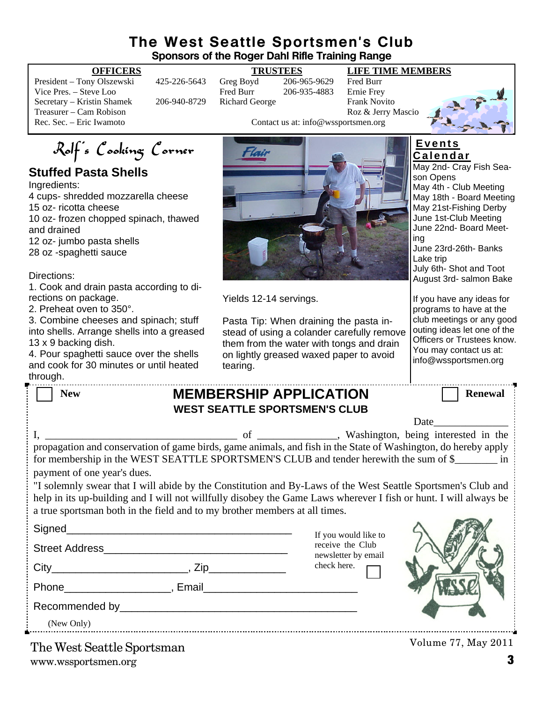#### **The West Seattle Sportsmen's Club Sponsors of the Roger Dahl Rifle Training Range**

President – Tony Olszewski 425-226-5643 Greg Boyd 206-965-9629 Fred Burr Vice Pres. – Steve Loo Fred Burr 206-935-4883 Secretary – Kristin Shamek 206-940-8729 Richard George Frank Novito Treasurer – Cam Robison Roz & Jerry Mascio<br>
Rec. Sec. – Eric Iwamoto Roz & Jerry Mascio<br>
Contact us at: info@wssportsmen.org

#### **OFFICERS TRUSTEES LIFE TIME MEMBERS**

Contact us at: info@wssportsmen.org



Rolf's Cooking Corner

### **Stuffed Pasta Shells**

Ingredients:

4 cups- shredded mozzarella cheese 15 oz- ricotta cheese 10 oz- frozen chopped spinach, thawed and drained

12 oz- jumbo pasta shells

28 oz -spaghetti sauce

Directions:

1. Cook and drain pasta according to directions on package.

2. Preheat oven to 350°.

3. Combine cheeses and spinach; stuff into shells. Arrange shells into a greased 13 x 9 backing dish.

4. Pour spaghetti sauce over the shells and cook for 30 minutes or until heated through.



Yields 12-14 servings.

Pasta Tip: When draining the pasta instead of using a colander carefully remove them from the water with tongs and drain on lightly greased waxed paper to avoid tearing.

#### **E v e n t s C a l e n d a r**

May 2nd- Cray Fish Season Opens May 4th - Club Meeting May 18th - Board Meeting May 21st-Fishing Derby June 1st-Club Meeting June 22nd- Board Meeting June 23rd-26th- Banks

Lake trip July 6th- Shot and Toot August 3rd- salmon Bake

If you have any ideas for programs to have at the club meetings or any good outing ideas let one of the Officers or Trustees know. You may contact us at: info@wssportsmen.org

| ullough.                                                                                                                                                                                                                                                                                                       |  |                                         |                |  |
|----------------------------------------------------------------------------------------------------------------------------------------------------------------------------------------------------------------------------------------------------------------------------------------------------------------|--|-----------------------------------------|----------------|--|
| <b>New</b>                                                                                                                                                                                                                                                                                                     |  | <b>MEMBERSHIP APPLICATION</b>           | <b>Renewal</b> |  |
| <b>WEST SEATTLE SPORTSMEN'S CLUB</b>                                                                                                                                                                                                                                                                           |  |                                         |                |  |
|                                                                                                                                                                                                                                                                                                                |  |                                         | Date           |  |
|                                                                                                                                                                                                                                                                                                                |  |                                         |                |  |
| for membership in the WEST SEATTLE SPORTSMEN'S CLUB and tender herewith the sum of \$<br>payment of one year's dues.                                                                                                                                                                                           |  |                                         |                |  |
| "I solemnly swear that I will abide by the Constitution and By-Laws of the West Seattle Sportsmen's Club and<br>help in its up-building and I will not willfully disobey the Game Laws wherever I fish or hunt. I will always be<br>a true sportsman both in the field and to my brother members at all times. |  |                                         |                |  |
|                                                                                                                                                                                                                                                                                                                |  | If you would like to                    |                |  |
|                                                                                                                                                                                                                                                                                                                |  | receive the Club<br>newsletter by email |                |  |
|                                                                                                                                                                                                                                                                                                                |  | check here.                             |                |  |
| Phone Representation of the Representation of the Representation of the Representation of the Representation of the Representation of the Representation of the Representation of the Representation of the Representation of                                                                                  |  |                                         |                |  |
|                                                                                                                                                                                                                                                                                                                |  |                                         |                |  |
| (New Only)                                                                                                                                                                                                                                                                                                     |  |                                         |                |  |

www.wssportsmen.org **3** The West Seattle Sportsman

Volume 77, May 2011